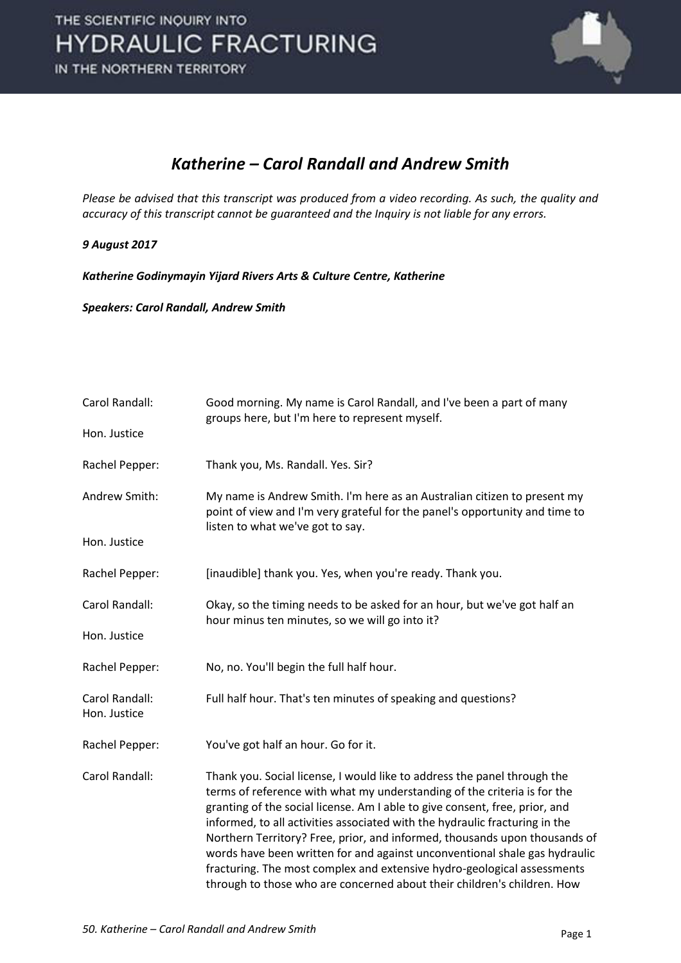

#### *Katherine – Carol Randall and Andrew Smith*

*Please be advised that this transcript was produced from a video recording. As such, the quality and accuracy of this transcript cannot be guaranteed and the Inquiry is not liable for any errors.*

#### *9 August 2017*

*Katherine Godinymayin Yijard Rivers Arts & Culture Centre, Katherine* 

*Speakers: Carol Randall, Andrew Smith* 

| Carol Randall:                 | Good morning. My name is Carol Randall, and I've been a part of many<br>groups here, but I'm here to represent myself.                                                                                                                                                                                                                                                                                                                                                                                                                                                                                                               |
|--------------------------------|--------------------------------------------------------------------------------------------------------------------------------------------------------------------------------------------------------------------------------------------------------------------------------------------------------------------------------------------------------------------------------------------------------------------------------------------------------------------------------------------------------------------------------------------------------------------------------------------------------------------------------------|
| Hon. Justice                   |                                                                                                                                                                                                                                                                                                                                                                                                                                                                                                                                                                                                                                      |
| Rachel Pepper:                 | Thank you, Ms. Randall. Yes. Sir?                                                                                                                                                                                                                                                                                                                                                                                                                                                                                                                                                                                                    |
| Andrew Smith:                  | My name is Andrew Smith. I'm here as an Australian citizen to present my<br>point of view and I'm very grateful for the panel's opportunity and time to<br>listen to what we've got to say.                                                                                                                                                                                                                                                                                                                                                                                                                                          |
| Hon. Justice                   |                                                                                                                                                                                                                                                                                                                                                                                                                                                                                                                                                                                                                                      |
| Rachel Pepper:                 | [inaudible] thank you. Yes, when you're ready. Thank you.                                                                                                                                                                                                                                                                                                                                                                                                                                                                                                                                                                            |
| Carol Randall:                 | Okay, so the timing needs to be asked for an hour, but we've got half an<br>hour minus ten minutes, so we will go into it?                                                                                                                                                                                                                                                                                                                                                                                                                                                                                                           |
| Hon. Justice                   |                                                                                                                                                                                                                                                                                                                                                                                                                                                                                                                                                                                                                                      |
| Rachel Pepper:                 | No, no. You'll begin the full half hour.                                                                                                                                                                                                                                                                                                                                                                                                                                                                                                                                                                                             |
| Carol Randall:<br>Hon. Justice | Full half hour. That's ten minutes of speaking and questions?                                                                                                                                                                                                                                                                                                                                                                                                                                                                                                                                                                        |
| Rachel Pepper:                 | You've got half an hour. Go for it.                                                                                                                                                                                                                                                                                                                                                                                                                                                                                                                                                                                                  |
| Carol Randall:                 | Thank you. Social license, I would like to address the panel through the<br>terms of reference with what my understanding of the criteria is for the<br>granting of the social license. Am I able to give consent, free, prior, and<br>informed, to all activities associated with the hydraulic fracturing in the<br>Northern Territory? Free, prior, and informed, thousands upon thousands of<br>words have been written for and against unconventional shale gas hydraulic<br>fracturing. The most complex and extensive hydro-geological assessments<br>through to those who are concerned about their children's children. How |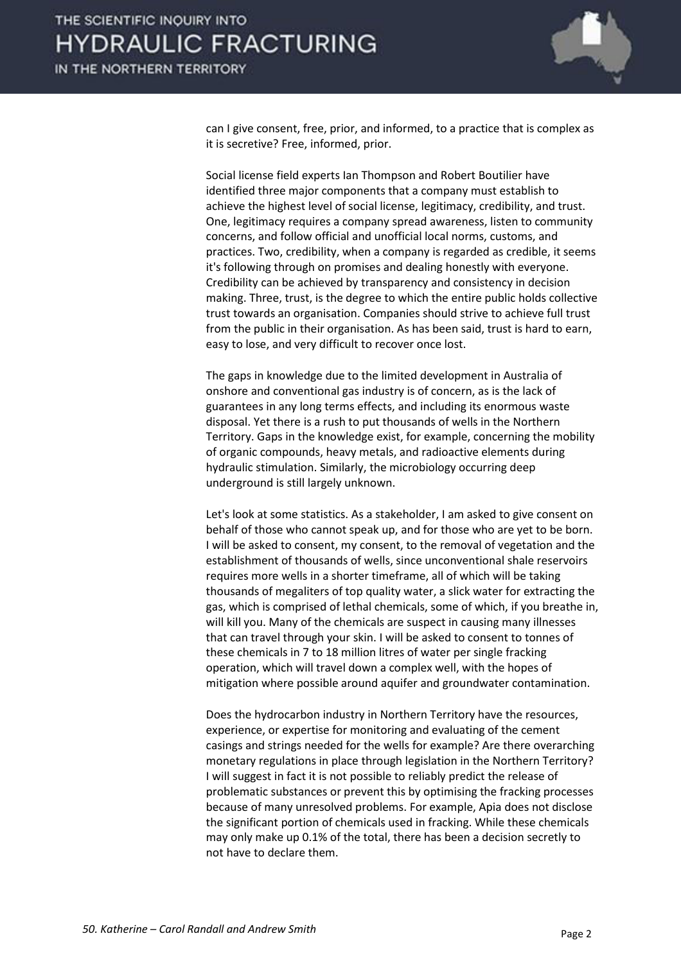

can I give consent, free, prior, and informed, to a practice that is complex as it is secretive? Free, informed, prior.

 Social license field experts Ian Thompson and Robert Boutilier have identified three major components that a company must establish to achieve the highest level of social license, legitimacy, credibility, and trust. One, legitimacy requires a company spread awareness, listen to community concerns, and follow official and unofficial local norms, customs, and practices. Two, credibility, when a company is regarded as credible, it seems it's following through on promises and dealing honestly with everyone. Credibility can be achieved by transparency and consistency in decision making. Three, trust, is the degree to which the entire public holds collective trust towards an organisation. Companies should strive to achieve full trust from the public in their organisation. As has been said, trust is hard to earn, easy to lose, and very difficult to recover once lost.

 The gaps in knowledge due to the limited development in Australia of onshore and conventional gas industry is of concern, as is the lack of guarantees in any long terms effects, and including its enormous waste disposal. Yet there is a rush to put thousands of wells in the Northern Territory. Gaps in the knowledge exist, for example, concerning the mobility of organic compounds, heavy metals, and radioactive elements during hydraulic stimulation. Similarly, the microbiology occurring deep underground is still largely unknown.

 Let's look at some statistics. As a stakeholder, I am asked to give consent on behalf of those who cannot speak up, and for those who are yet to be born. I will be asked to consent, my consent, to the removal of vegetation and the establishment of thousands of wells, since unconventional shale reservoirs requires more wells in a shorter timeframe, all of which will be taking thousands of megaliters of top quality water, a slick water for extracting the gas, which is comprised of lethal chemicals, some of which, if you breathe in, will kill you. Many of the chemicals are suspect in causing many illnesses that can travel through your skin. I will be asked to consent to tonnes of these chemicals in 7 to 18 million litres of water per single fracking operation, which will travel down a complex well, with the hopes of mitigation where possible around aquifer and groundwater contamination.

 Does the hydrocarbon industry in Northern Territory have the resources, experience, or expertise for monitoring and evaluating of the cement casings and strings needed for the wells for example? Are there overarching monetary regulations in place through legislation in the Northern Territory? I will suggest in fact it is not possible to reliably predict the release of problematic substances or prevent this by optimising the fracking processes because of many unresolved problems. For example, Apia does not disclose the significant portion of chemicals used in fracking. While these chemicals may only make up 0.1% of the total, there has been a decision secretly to not have to declare them.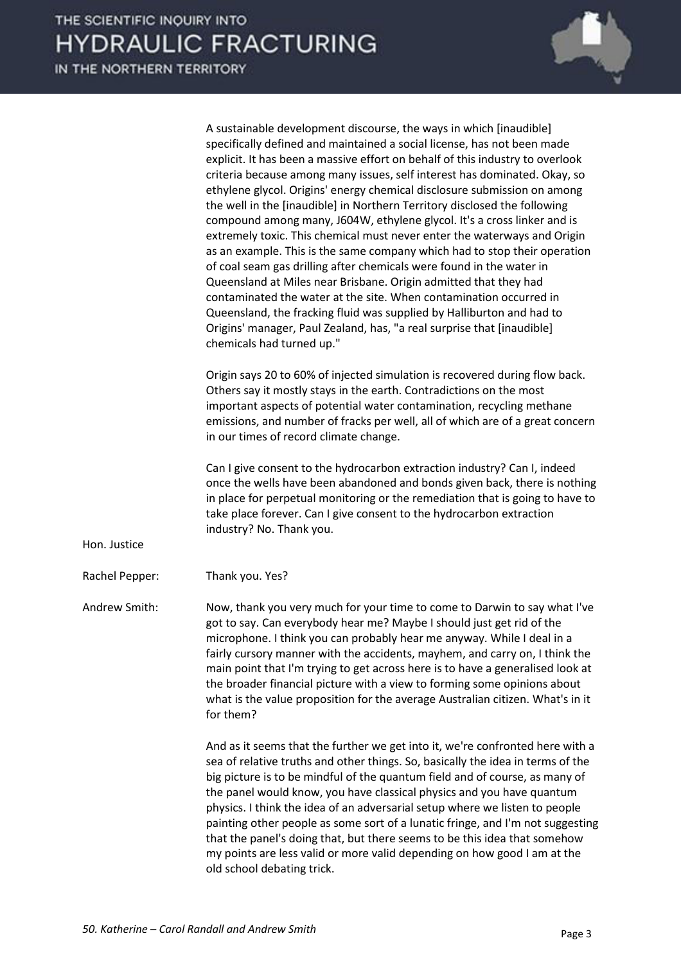

|                | A sustainable development discourse, the ways in which [inaudible]<br>specifically defined and maintained a social license, has not been made<br>explicit. It has been a massive effort on behalf of this industry to overlook<br>criteria because among many issues, self interest has dominated. Okay, so<br>ethylene glycol. Origins' energy chemical disclosure submission on among<br>the well in the [inaudible] in Northern Territory disclosed the following<br>compound among many, J604W, ethylene glycol. It's a cross linker and is<br>extremely toxic. This chemical must never enter the waterways and Origin<br>as an example. This is the same company which had to stop their operation<br>of coal seam gas drilling after chemicals were found in the water in<br>Queensland at Miles near Brisbane. Origin admitted that they had<br>contaminated the water at the site. When contamination occurred in<br>Queensland, the fracking fluid was supplied by Halliburton and had to<br>Origins' manager, Paul Zealand, has, "a real surprise that [inaudible]<br>chemicals had turned up." |
|----------------|------------------------------------------------------------------------------------------------------------------------------------------------------------------------------------------------------------------------------------------------------------------------------------------------------------------------------------------------------------------------------------------------------------------------------------------------------------------------------------------------------------------------------------------------------------------------------------------------------------------------------------------------------------------------------------------------------------------------------------------------------------------------------------------------------------------------------------------------------------------------------------------------------------------------------------------------------------------------------------------------------------------------------------------------------------------------------------------------------------|
|                | Origin says 20 to 60% of injected simulation is recovered during flow back.<br>Others say it mostly stays in the earth. Contradictions on the most<br>important aspects of potential water contamination, recycling methane<br>emissions, and number of fracks per well, all of which are of a great concern<br>in our times of record climate change.                                                                                                                                                                                                                                                                                                                                                                                                                                                                                                                                                                                                                                                                                                                                                     |
| Hon. Justice   | Can I give consent to the hydrocarbon extraction industry? Can I, indeed<br>once the wells have been abandoned and bonds given back, there is nothing<br>in place for perpetual monitoring or the remediation that is going to have to<br>take place forever. Can I give consent to the hydrocarbon extraction<br>industry? No. Thank you.                                                                                                                                                                                                                                                                                                                                                                                                                                                                                                                                                                                                                                                                                                                                                                 |
| Rachel Pepper: | Thank you. Yes?                                                                                                                                                                                                                                                                                                                                                                                                                                                                                                                                                                                                                                                                                                                                                                                                                                                                                                                                                                                                                                                                                            |
| Andrew Smith:  | Now, thank you very much for your time to come to Darwin to say what I've<br>got to say. Can everybody hear me? Maybe I should just get rid of the<br>microphone. I think you can probably hear me anyway. While I deal in a<br>fairly cursory manner with the accidents, mayhem, and carry on, I think the<br>main point that I'm trying to get across here is to have a generalised look at<br>the broader financial picture with a view to forming some opinions about<br>what is the value proposition for the average Australian citizen. What's in it<br>for them?                                                                                                                                                                                                                                                                                                                                                                                                                                                                                                                                   |
|                | And as it seems that the further we get into it, we're confronted here with a<br>sea of relative truths and other things. So, basically the idea in terms of the<br>big picture is to be mindful of the quantum field and of course, as many of<br>the panel would know, you have classical physics and you have quantum<br>physics. I think the idea of an adversarial setup where we listen to people<br>painting other people as some sort of a lunatic fringe, and I'm not suggesting<br>that the panel's doing that, but there seems to be this idea that somehow<br>my points are less valid or more valid depending on how good I am at the<br>old school debating trick.                                                                                                                                                                                                                                                                                                                                                                                                                           |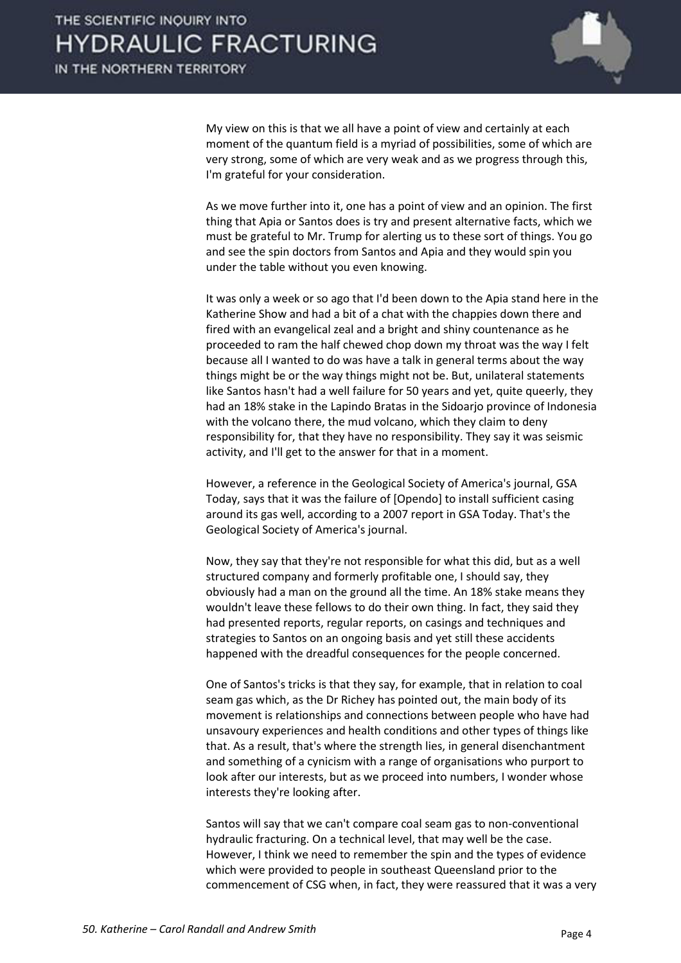

 My view on this is that we all have a point of view and certainly at each moment of the quantum field is a myriad of possibilities, some of which are very strong, some of which are very weak and as we progress through this, I'm grateful for your consideration.

 As we move further into it, one has a point of view and an opinion. The first thing that Apia or Santos does is try and present alternative facts, which we must be grateful to Mr. Trump for alerting us to these sort of things. You go and see the spin doctors from Santos and Apia and they would spin you under the table without you even knowing.

 It was only a week or so ago that I'd been down to the Apia stand here in the Katherine Show and had a bit of a chat with the chappies down there and fired with an evangelical zeal and a bright and shiny countenance as he proceeded to ram the half chewed chop down my throat was the way I felt because all I wanted to do was have a talk in general terms about the way things might be or the way things might not be. But, unilateral statements like Santos hasn't had a well failure for 50 years and yet, quite queerly, they had an 18% stake in the Lapindo Bratas in the Sidoarjo province of Indonesia with the volcano there, the mud volcano, which they claim to deny responsibility for, that they have no responsibility. They say it was seismic activity, and I'll get to the answer for that in a moment.

 However, a reference in the Geological Society of America's journal, GSA Today, says that it was the failure of [Opendo] to install sufficient casing around its gas well, according to a 2007 report in GSA Today. That's the Geological Society of America's journal.

 Now, they say that they're not responsible for what this did, but as a well structured company and formerly profitable one, I should say, they obviously had a man on the ground all the time. An 18% stake means they wouldn't leave these fellows to do their own thing. In fact, they said they had presented reports, regular reports, on casings and techniques and strategies to Santos on an ongoing basis and yet still these accidents happened with the dreadful consequences for the people concerned.

 One of Santos's tricks is that they say, for example, that in relation to coal seam gas which, as the Dr Richey has pointed out, the main body of its movement is relationships and connections between people who have had unsavoury experiences and health conditions and other types of things like that. As a result, that's where the strength lies, in general disenchantment and something of a cynicism with a range of organisations who purport to look after our interests, but as we proceed into numbers, I wonder whose interests they're looking after.

 Santos will say that we can't compare coal seam gas to non-conventional hydraulic fracturing. On a technical level, that may well be the case. However, I think we need to remember the spin and the types of evidence which were provided to people in southeast Queensland prior to the commencement of CSG when, in fact, they were reassured that it was a very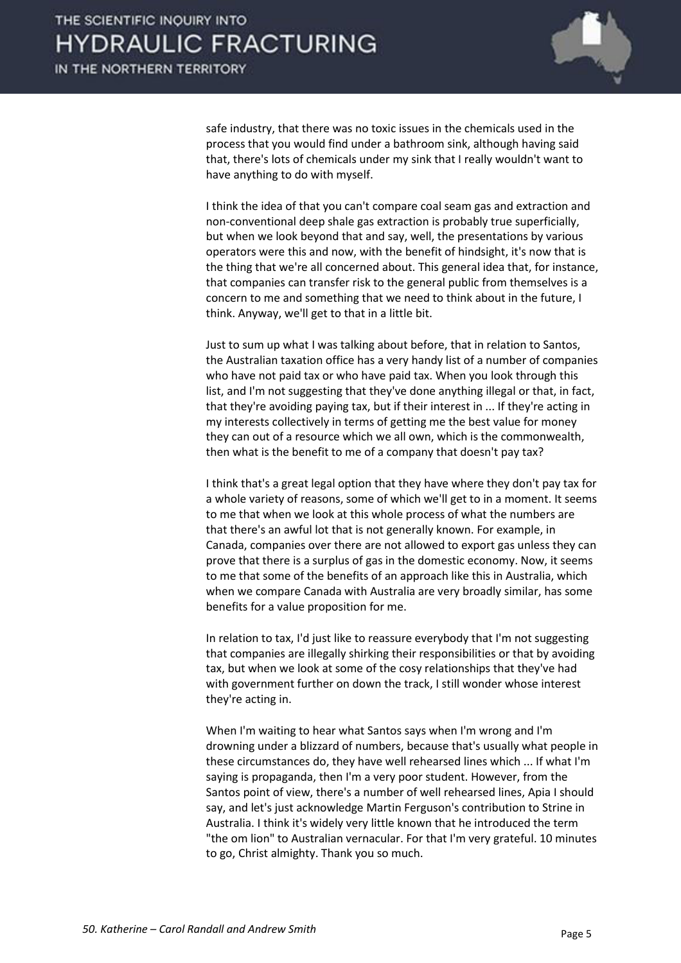

safe industry, that there was no toxic issues in the chemicals used in the process that you would find under a bathroom sink, although having said that, there's lots of chemicals under my sink that I really wouldn't want to have anything to do with myself.

 I think the idea of that you can't compare coal seam gas and extraction and non-conventional deep shale gas extraction is probably true superficially, but when we look beyond that and say, well, the presentations by various operators were this and now, with the benefit of hindsight, it's now that is the thing that we're all concerned about. This general idea that, for instance, that companies can transfer risk to the general public from themselves is a concern to me and something that we need to think about in the future, I think. Anyway, we'll get to that in a little bit.

 Just to sum up what I was talking about before, that in relation to Santos, the Australian taxation office has a very handy list of a number of companies who have not paid tax or who have paid tax. When you look through this list, and I'm not suggesting that they've done anything illegal or that, in fact, that they're avoiding paying tax, but if their interest in ... If they're acting in my interests collectively in terms of getting me the best value for money they can out of a resource which we all own, which is the commonwealth, then what is the benefit to me of a company that doesn't pay tax?

 I think that's a great legal option that they have where they don't pay tax for a whole variety of reasons, some of which we'll get to in a moment. It seems to me that when we look at this whole process of what the numbers are that there's an awful lot that is not generally known. For example, in Canada, companies over there are not allowed to export gas unless they can prove that there is a surplus of gas in the domestic economy. Now, it seems to me that some of the benefits of an approach like this in Australia, which when we compare Canada with Australia are very broadly similar, has some benefits for a value proposition for me.

 In relation to tax, I'd just like to reassure everybody that I'm not suggesting that companies are illegally shirking their responsibilities or that by avoiding tax, but when we look at some of the cosy relationships that they've had with government further on down the track, I still wonder whose interest they're acting in.

 When I'm waiting to hear what Santos says when I'm wrong and I'm drowning under a blizzard of numbers, because that's usually what people in these circumstances do, they have well rehearsed lines which ... If what I'm saying is propaganda, then I'm a very poor student. However, from the Santos point of view, there's a number of well rehearsed lines, Apia I should say, and let's just acknowledge Martin Ferguson's contribution to Strine in Australia. I think it's widely very little known that he introduced the term "the om lion" to Australian vernacular. For that I'm very grateful. 10 minutes to go, Christ almighty. Thank you so much.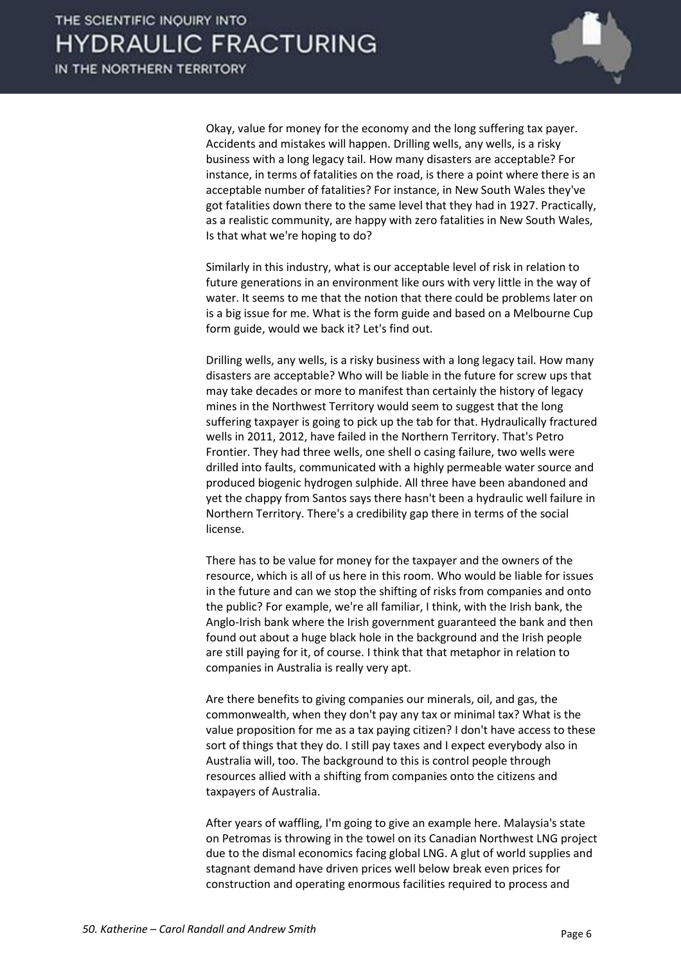

 Okay, value for money for the economy and the long suffering tax payer. Accidents and mistakes will happen. Drilling wells, any wells, is a risky business with a long legacy tail. How many disasters are acceptable? For instance, in terms of fatalities on the road, is there a point where there is an acceptable number of fatalities? For instance, in New South Wales they've got fatalities down there to the same level that they had in 1927. Practically, as a realistic community, are happy with zero fatalities in New South Wales, Is that what we're hoping to do?

 Similarly in this industry, what is our acceptable level of risk in relation to future generations in an environment like ours with very little in the way of water. It seems to me that the notion that there could be problems later on is a big issue for me. What is the form guide and based on a Melbourne Cup form guide, would we back it? Let's find out.

 Drilling wells, any wells, is a risky business with a long legacy tail. How many disasters are acceptable? Who will be liable in the future for screw ups that may take decades or more to manifest than certainly the history of legacy mines in the Northwest Territory would seem to suggest that the long suffering taxpayer is going to pick up the tab for that. Hydraulically fractured wells in 2011, 2012, have failed in the Northern Territory. That's Petro Frontier. They had three wells, one shell o casing failure, two wells were drilled into faults, communicated with a highly permeable water source and produced biogenic hydrogen sulphide. All three have been abandoned and yet the chappy from Santos says there hasn't been a hydraulic well failure in Northern Territory. There's a credibility gap there in terms of the social license.

 There has to be value for money for the taxpayer and the owners of the resource, which is all of us here in this room. Who would be liable for issues in the future and can we stop the shifting of risks from companies and onto the public? For example, we're all familiar, I think, with the Irish bank, the Anglo-Irish bank where the Irish government guaranteed the bank and then found out about a huge black hole in the background and the Irish people are still paying for it, of course. I think that that metaphor in relation to companies in Australia is really very apt.

 Are there benefits to giving companies our minerals, oil, and gas, the commonwealth, when they don't pay any tax or minimal tax? What is the value proposition for me as a tax paying citizen? I don't have access to these sort of things that they do. I still pay taxes and I expect everybody also in Australia will, too. The background to this is control people through resources allied with a shifting from companies onto the citizens and taxpayers of Australia.

 After years of waffling, I'm going to give an example here. Malaysia's state on Petromas is throwing in the towel on its Canadian Northwest LNG project due to the dismal economics facing global LNG. A glut of world supplies and stagnant demand have driven prices well below break even prices for construction and operating enormous facilities required to process and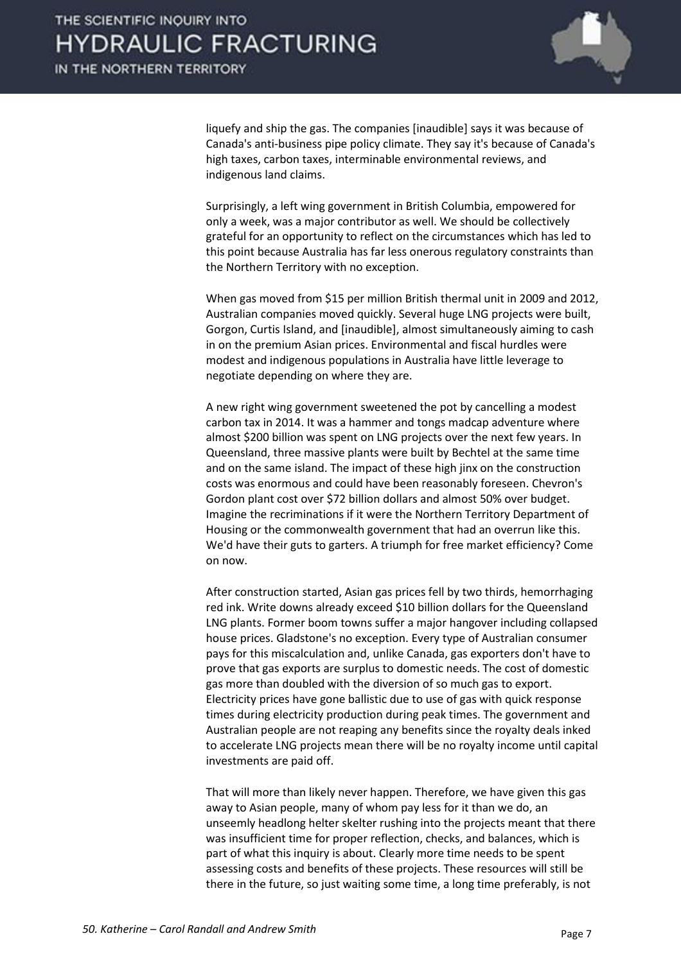

liquefy and ship the gas. The companies [inaudible] says it was because of Canada's anti-business pipe policy climate. They say it's because of Canada's high taxes, carbon taxes, interminable environmental reviews, and indigenous land claims.

 Surprisingly, a left wing government in British Columbia, empowered for only a week, was a major contributor as well. We should be collectively grateful for an opportunity to reflect on the circumstances which has led to this point because Australia has far less onerous regulatory constraints than the Northern Territory with no exception.

 When gas moved from \$15 per million British thermal unit in 2009 and 2012, Australian companies moved quickly. Several huge LNG projects were built, Gorgon, Curtis Island, and [inaudible], almost simultaneously aiming to cash in on the premium Asian prices. Environmental and fiscal hurdles were modest and indigenous populations in Australia have little leverage to negotiate depending on where they are.

 A new right wing government sweetened the pot by cancelling a modest carbon tax in 2014. It was a hammer and tongs madcap adventure where almost \$200 billion was spent on LNG projects over the next few years. In Queensland, three massive plants were built by Bechtel at the same time and on the same island. The impact of these high jinx on the construction costs was enormous and could have been reasonably foreseen. Chevron's Gordon plant cost over \$72 billion dollars and almost 50% over budget. Imagine the recriminations if it were the Northern Territory Department of Housing or the commonwealth government that had an overrun like this. We'd have their guts to garters. A triumph for free market efficiency? Come on now.

 After construction started, Asian gas prices fell by two thirds, hemorrhaging red ink. Write downs already exceed \$10 billion dollars for the Queensland LNG plants. Former boom towns suffer a major hangover including collapsed house prices. Gladstone's no exception. Every type of Australian consumer pays for this miscalculation and, unlike Canada, gas exporters don't have to prove that gas exports are surplus to domestic needs. The cost of domestic gas more than doubled with the diversion of so much gas to export. Electricity prices have gone ballistic due to use of gas with quick response times during electricity production during peak times. The government and Australian people are not reaping any benefits since the royalty deals inked to accelerate LNG projects mean there will be no royalty income until capital investments are paid off.

 That will more than likely never happen. Therefore, we have given this gas away to Asian people, many of whom pay less for it than we do, an unseemly headlong helter skelter rushing into the projects meant that there was insufficient time for proper reflection, checks, and balances, which is part of what this inquiry is about. Clearly more time needs to be spent assessing costs and benefits of these projects. These resources will still be there in the future, so just waiting some time, a long time preferably, is not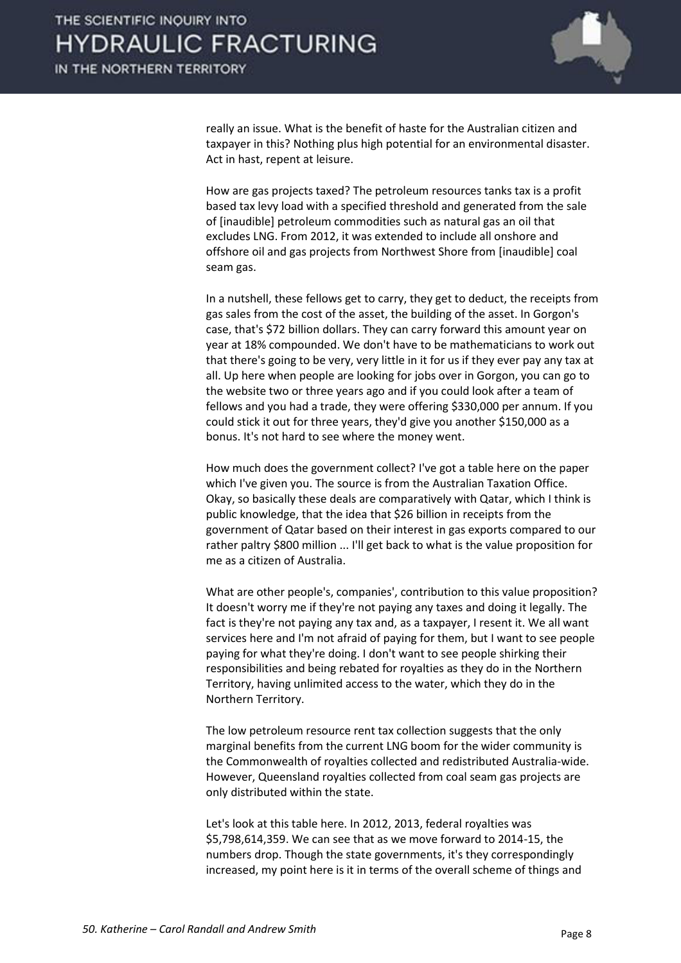

really an issue. What is the benefit of haste for the Australian citizen and taxpayer in this? Nothing plus high potential for an environmental disaster. Act in hast, repent at leisure.

 How are gas projects taxed? The petroleum resources tanks tax is a profit based tax levy load with a specified threshold and generated from the sale of [inaudible] petroleum commodities such as natural gas an oil that excludes LNG. From 2012, it was extended to include all onshore and offshore oil and gas projects from Northwest Shore from [inaudible] coal seam gas.

 In a nutshell, these fellows get to carry, they get to deduct, the receipts from gas sales from the cost of the asset, the building of the asset. In Gorgon's case, that's \$72 billion dollars. They can carry forward this amount year on year at 18% compounded. We don't have to be mathematicians to work out that there's going to be very, very little in it for us if they ever pay any tax at all. Up here when people are looking for jobs over in Gorgon, you can go to the website two or three years ago and if you could look after a team of fellows and you had a trade, they were offering \$330,000 per annum. If you could stick it out for three years, they'd give you another \$150,000 as a bonus. It's not hard to see where the money went.

 How much does the government collect? I've got a table here on the paper which I've given you. The source is from the Australian Taxation Office. Okay, so basically these deals are comparatively with Qatar, which I think is public knowledge, that the idea that \$26 billion in receipts from the government of Qatar based on their interest in gas exports compared to our rather paltry \$800 million ... I'll get back to what is the value proposition for me as a citizen of Australia.

 What are other people's, companies', contribution to this value proposition? It doesn't worry me if they're not paying any taxes and doing it legally. The fact is they're not paying any tax and, as a taxpayer, I resent it. We all want services here and I'm not afraid of paying for them, but I want to see people paying for what they're doing. I don't want to see people shirking their responsibilities and being rebated for royalties as they do in the Northern Territory, having unlimited access to the water, which they do in the Northern Territory.

 The low petroleum resource rent tax collection suggests that the only marginal benefits from the current LNG boom for the wider community is the Commonwealth of royalties collected and redistributed Australia-wide. However, Queensland royalties collected from coal seam gas projects are only distributed within the state.

 Let's look at this table here. In 2012, 2013, federal royalties was \$5,798,614,359. We can see that as we move forward to 2014-15, the numbers drop. Though the state governments, it's they correspondingly increased, my point here is it in terms of the overall scheme of things and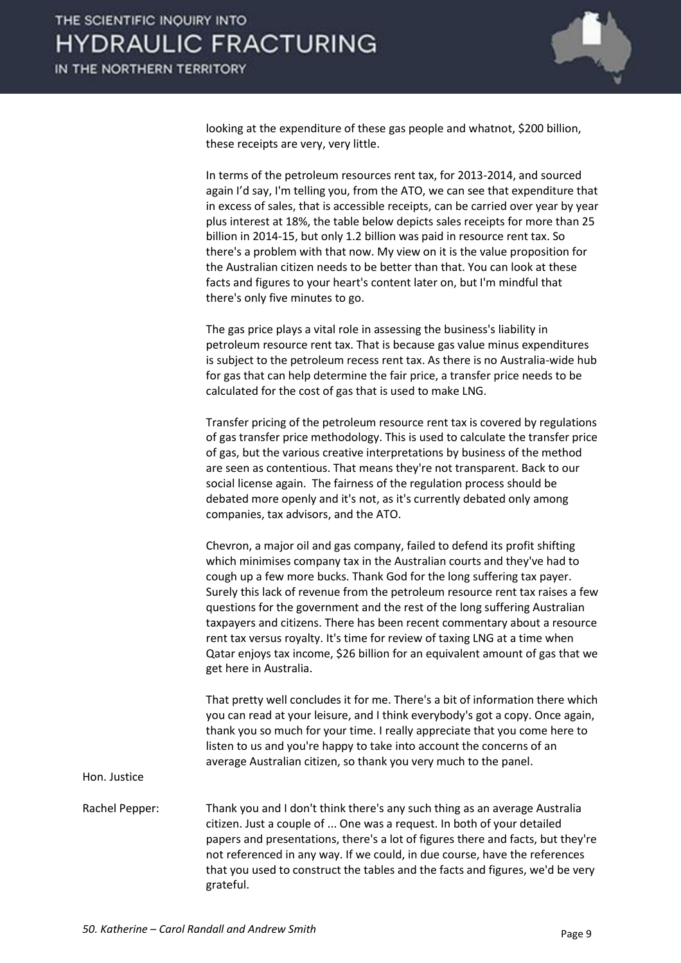

looking at the expenditure of these gas people and whatnot, \$200 billion, these receipts are very, very little.

 In terms of the petroleum resources rent tax, for 2013-2014, and sourced again I'd say, I'm telling you, from the ATO, we can see that expenditure that in excess of sales, that is accessible receipts, can be carried over year by year plus interest at 18%, the table below depicts sales receipts for more than 25 billion in 2014-15, but only 1.2 billion was paid in resource rent tax. So there's a problem with that now. My view on it is the value proposition for the Australian citizen needs to be better than that. You can look at these facts and figures to your heart's content later on, but I'm mindful that there's only five minutes to go.

 The gas price plays a vital role in assessing the business's liability in petroleum resource rent tax. That is because gas value minus expenditures is subject to the petroleum recess rent tax. As there is no Australia-wide hub for gas that can help determine the fair price, a transfer price needs to be calculated for the cost of gas that is used to make LNG.

 Transfer pricing of the petroleum resource rent tax is covered by regulations of gas transfer price methodology. This is used to calculate the transfer price of gas, but the various creative interpretations by business of the method are seen as contentious. That means they're not transparent. Back to our social license again. The fairness of the regulation process should be debated more openly and it's not, as it's currently debated only among companies, tax advisors, and the ATO.

 Chevron, a major oil and gas company, failed to defend its profit shifting which minimises company tax in the Australian courts and they've had to cough up a few more bucks. Thank God for the long suffering tax payer. Surely this lack of revenue from the petroleum resource rent tax raises a few questions for the government and the rest of the long suffering Australian taxpayers and citizens. There has been recent commentary about a resource rent tax versus royalty. It's time for review of taxing LNG at a time when Qatar enjoys tax income, \$26 billion for an equivalent amount of gas that we get here in Australia.

 That pretty well concludes it for me. There's a bit of information there which you can read at your leisure, and I think everybody's got a copy. Once again, thank you so much for your time. I really appreciate that you come here to listen to us and you're happy to take into account the concerns of an average Australian citizen, so thank you very much to the panel.

Hon. Justice

Rachel Pepper: Thank you and I don't think there's any such thing as an average Australia citizen. Just a couple of ... One was a request. In both of your detailed papers and presentations, there's a lot of figures there and facts, but they're not referenced in any way. If we could, in due course, have the references that you used to construct the tables and the facts and figures, we'd be very grateful.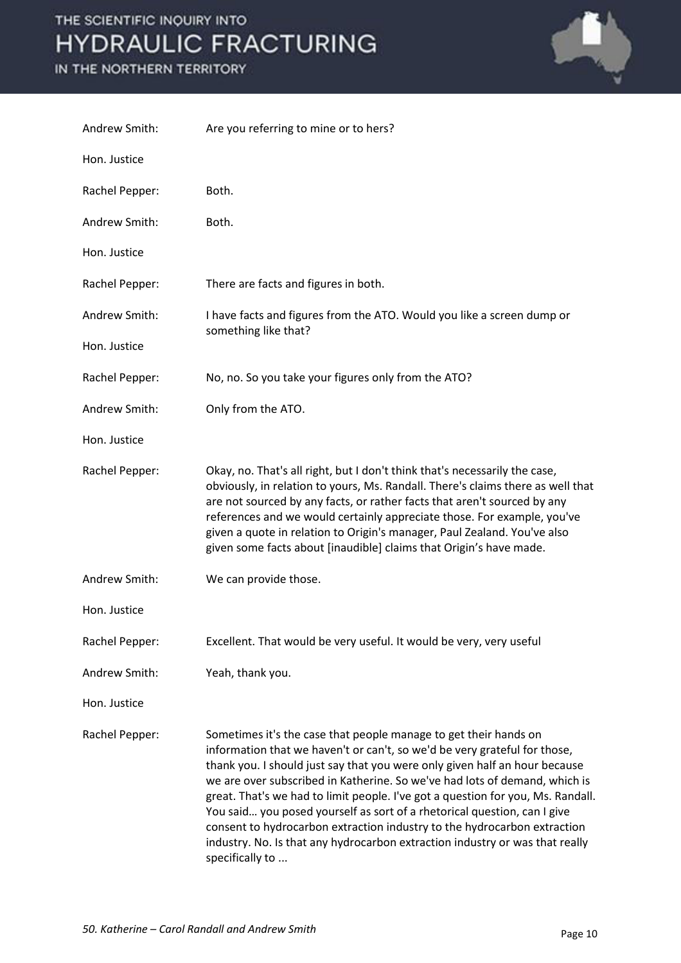#### IN THE NORTHERN TERRITORY



| Andrew Smith:  | Are you referring to mine or to hers?                                                                                                                                                                                                                                                                                                                                                                                                                                                                                                                                                                                                                   |
|----------------|---------------------------------------------------------------------------------------------------------------------------------------------------------------------------------------------------------------------------------------------------------------------------------------------------------------------------------------------------------------------------------------------------------------------------------------------------------------------------------------------------------------------------------------------------------------------------------------------------------------------------------------------------------|
| Hon. Justice   |                                                                                                                                                                                                                                                                                                                                                                                                                                                                                                                                                                                                                                                         |
| Rachel Pepper: | Both.                                                                                                                                                                                                                                                                                                                                                                                                                                                                                                                                                                                                                                                   |
| Andrew Smith:  | Both.                                                                                                                                                                                                                                                                                                                                                                                                                                                                                                                                                                                                                                                   |
| Hon. Justice   |                                                                                                                                                                                                                                                                                                                                                                                                                                                                                                                                                                                                                                                         |
| Rachel Pepper: | There are facts and figures in both.                                                                                                                                                                                                                                                                                                                                                                                                                                                                                                                                                                                                                    |
| Andrew Smith:  | I have facts and figures from the ATO. Would you like a screen dump or<br>something like that?                                                                                                                                                                                                                                                                                                                                                                                                                                                                                                                                                          |
| Hon. Justice   |                                                                                                                                                                                                                                                                                                                                                                                                                                                                                                                                                                                                                                                         |
| Rachel Pepper: | No, no. So you take your figures only from the ATO?                                                                                                                                                                                                                                                                                                                                                                                                                                                                                                                                                                                                     |
| Andrew Smith:  | Only from the ATO.                                                                                                                                                                                                                                                                                                                                                                                                                                                                                                                                                                                                                                      |
| Hon. Justice   |                                                                                                                                                                                                                                                                                                                                                                                                                                                                                                                                                                                                                                                         |
| Rachel Pepper: | Okay, no. That's all right, but I don't think that's necessarily the case,<br>obviously, in relation to yours, Ms. Randall. There's claims there as well that<br>are not sourced by any facts, or rather facts that aren't sourced by any<br>references and we would certainly appreciate those. For example, you've<br>given a quote in relation to Origin's manager, Paul Zealand. You've also<br>given some facts about [inaudible] claims that Origin's have made.                                                                                                                                                                                  |
| Andrew Smith:  | We can provide those.                                                                                                                                                                                                                                                                                                                                                                                                                                                                                                                                                                                                                                   |
| Hon. Justice   |                                                                                                                                                                                                                                                                                                                                                                                                                                                                                                                                                                                                                                                         |
| Rachel Pepper: | Excellent. That would be very useful. It would be very, very useful                                                                                                                                                                                                                                                                                                                                                                                                                                                                                                                                                                                     |
| Andrew Smith:  | Yeah, thank you.                                                                                                                                                                                                                                                                                                                                                                                                                                                                                                                                                                                                                                        |
| Hon. Justice   |                                                                                                                                                                                                                                                                                                                                                                                                                                                                                                                                                                                                                                                         |
| Rachel Pepper: | Sometimes it's the case that people manage to get their hands on<br>information that we haven't or can't, so we'd be very grateful for those,<br>thank you. I should just say that you were only given half an hour because<br>we are over subscribed in Katherine. So we've had lots of demand, which is<br>great. That's we had to limit people. I've got a question for you, Ms. Randall.<br>You said you posed yourself as sort of a rhetorical question, can I give<br>consent to hydrocarbon extraction industry to the hydrocarbon extraction<br>industry. No. Is that any hydrocarbon extraction industry or was that really<br>specifically to |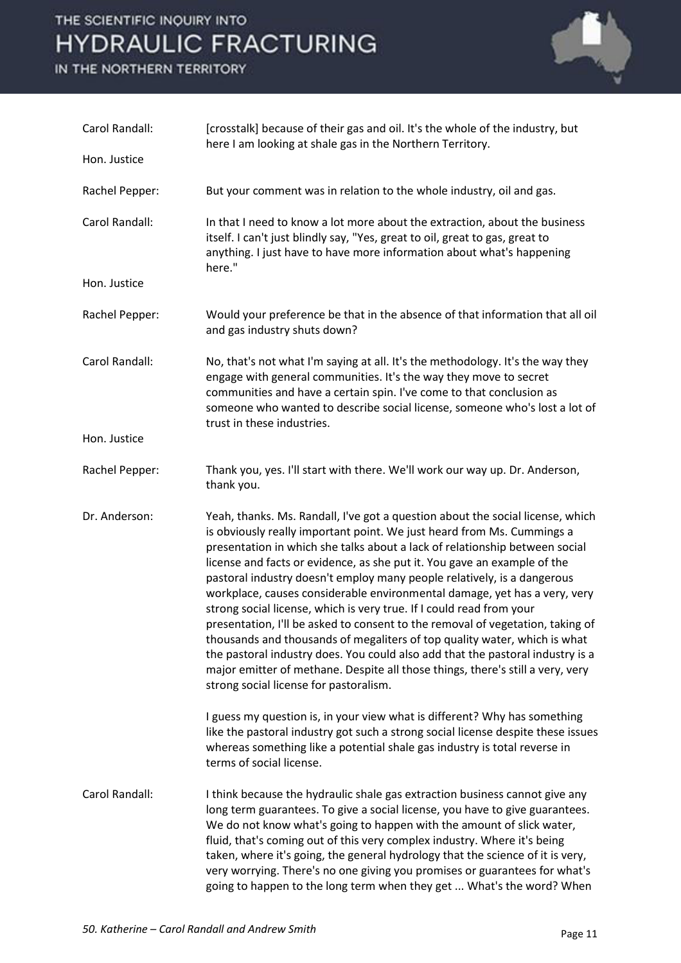IN THE NORTHERN TERRITORY



| Carol Randall: | [crosstalk] because of their gas and oil. It's the whole of the industry, but<br>here I am looking at shale gas in the Northern Territory.                                                                                                                                                                                                                                                                                                                                                                                                                                                                                                                                                                                                                                                                                                                                                                                       |
|----------------|----------------------------------------------------------------------------------------------------------------------------------------------------------------------------------------------------------------------------------------------------------------------------------------------------------------------------------------------------------------------------------------------------------------------------------------------------------------------------------------------------------------------------------------------------------------------------------------------------------------------------------------------------------------------------------------------------------------------------------------------------------------------------------------------------------------------------------------------------------------------------------------------------------------------------------|
| Hon. Justice   |                                                                                                                                                                                                                                                                                                                                                                                                                                                                                                                                                                                                                                                                                                                                                                                                                                                                                                                                  |
| Rachel Pepper: | But your comment was in relation to the whole industry, oil and gas.                                                                                                                                                                                                                                                                                                                                                                                                                                                                                                                                                                                                                                                                                                                                                                                                                                                             |
| Carol Randall: | In that I need to know a lot more about the extraction, about the business<br>itself. I can't just blindly say, "Yes, great to oil, great to gas, great to<br>anything. I just have to have more information about what's happening<br>here."                                                                                                                                                                                                                                                                                                                                                                                                                                                                                                                                                                                                                                                                                    |
| Hon. Justice   |                                                                                                                                                                                                                                                                                                                                                                                                                                                                                                                                                                                                                                                                                                                                                                                                                                                                                                                                  |
| Rachel Pepper: | Would your preference be that in the absence of that information that all oil<br>and gas industry shuts down?                                                                                                                                                                                                                                                                                                                                                                                                                                                                                                                                                                                                                                                                                                                                                                                                                    |
| Carol Randall: | No, that's not what I'm saying at all. It's the methodology. It's the way they<br>engage with general communities. It's the way they move to secret<br>communities and have a certain spin. I've come to that conclusion as<br>someone who wanted to describe social license, someone who's lost a lot of<br>trust in these industries.                                                                                                                                                                                                                                                                                                                                                                                                                                                                                                                                                                                          |
| Hon. Justice   |                                                                                                                                                                                                                                                                                                                                                                                                                                                                                                                                                                                                                                                                                                                                                                                                                                                                                                                                  |
| Rachel Pepper: | Thank you, yes. I'll start with there. We'll work our way up. Dr. Anderson,<br>thank you.                                                                                                                                                                                                                                                                                                                                                                                                                                                                                                                                                                                                                                                                                                                                                                                                                                        |
| Dr. Anderson:  | Yeah, thanks. Ms. Randall, I've got a question about the social license, which<br>is obviously really important point. We just heard from Ms. Cummings a<br>presentation in which she talks about a lack of relationship between social<br>license and facts or evidence, as she put it. You gave an example of the<br>pastoral industry doesn't employ many people relatively, is a dangerous<br>workplace, causes considerable environmental damage, yet has a very, very<br>strong social license, which is very true. If I could read from your<br>presentation, I'll be asked to consent to the removal of vegetation, taking of<br>thousands and thousands of megaliters of top quality water, which is what<br>the pastoral industry does. You could also add that the pastoral industry is a<br>major emitter of methane. Despite all those things, there's still a very, very<br>strong social license for pastoralism. |
|                | I guess my question is, in your view what is different? Why has something<br>like the pastoral industry got such a strong social license despite these issues<br>whereas something like a potential shale gas industry is total reverse in<br>terms of social license.                                                                                                                                                                                                                                                                                                                                                                                                                                                                                                                                                                                                                                                           |
| Carol Randall: | I think because the hydraulic shale gas extraction business cannot give any<br>long term guarantees. To give a social license, you have to give guarantees.<br>We do not know what's going to happen with the amount of slick water,<br>fluid, that's coming out of this very complex industry. Where it's being<br>taken, where it's going, the general hydrology that the science of it is very,<br>very worrying. There's no one giving you promises or guarantees for what's<br>going to happen to the long term when they get  What's the word? When                                                                                                                                                                                                                                                                                                                                                                        |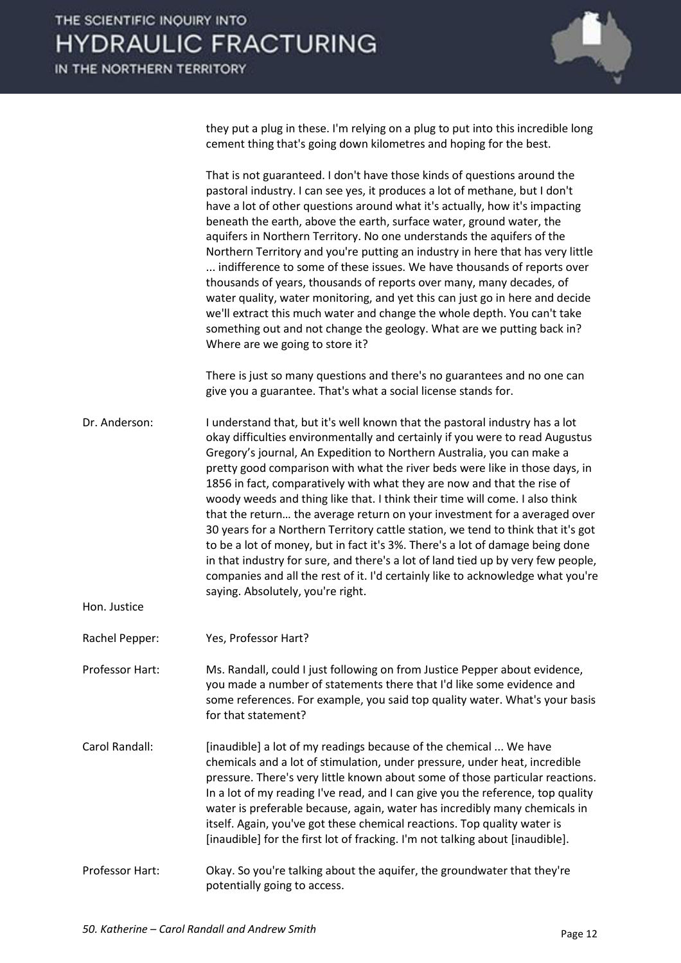they put a plug in these. I'm relying on a plug to put into this incredible long cement thing that's going down kilometres and hoping for the best.

|                 | That is not guaranteed. I don't have those kinds of questions around the<br>pastoral industry. I can see yes, it produces a lot of methane, but I don't<br>have a lot of other questions around what it's actually, how it's impacting<br>beneath the earth, above the earth, surface water, ground water, the<br>aquifers in Northern Territory. No one understands the aquifers of the<br>Northern Territory and you're putting an industry in here that has very little<br>indifference to some of these issues. We have thousands of reports over<br>thousands of years, thousands of reports over many, many decades, of<br>water quality, water monitoring, and yet this can just go in here and decide<br>we'll extract this much water and change the whole depth. You can't take<br>something out and not change the geology. What are we putting back in?<br>Where are we going to store it?<br>There is just so many questions and there's no guarantees and no one can<br>give you a guarantee. That's what a social license stands for. |
|-----------------|------------------------------------------------------------------------------------------------------------------------------------------------------------------------------------------------------------------------------------------------------------------------------------------------------------------------------------------------------------------------------------------------------------------------------------------------------------------------------------------------------------------------------------------------------------------------------------------------------------------------------------------------------------------------------------------------------------------------------------------------------------------------------------------------------------------------------------------------------------------------------------------------------------------------------------------------------------------------------------------------------------------------------------------------------|
|                 |                                                                                                                                                                                                                                                                                                                                                                                                                                                                                                                                                                                                                                                                                                                                                                                                                                                                                                                                                                                                                                                      |
| Dr. Anderson:   | I understand that, but it's well known that the pastoral industry has a lot<br>okay difficulties environmentally and certainly if you were to read Augustus<br>Gregory's journal, An Expedition to Northern Australia, you can make a<br>pretty good comparison with what the river beds were like in those days, in<br>1856 in fact, comparatively with what they are now and that the rise of<br>woody weeds and thing like that. I think their time will come. I also think<br>that the return the average return on your investment for a averaged over<br>30 years for a Northern Territory cattle station, we tend to think that it's got<br>to be a lot of money, but in fact it's 3%. There's a lot of damage being done<br>in that industry for sure, and there's a lot of land tied up by very few people,<br>companies and all the rest of it. I'd certainly like to acknowledge what you're<br>saying. Absolutely, you're right.                                                                                                         |
| Hon. Justice    |                                                                                                                                                                                                                                                                                                                                                                                                                                                                                                                                                                                                                                                                                                                                                                                                                                                                                                                                                                                                                                                      |
| Rachel Pepper:  | Yes, Professor Hart?                                                                                                                                                                                                                                                                                                                                                                                                                                                                                                                                                                                                                                                                                                                                                                                                                                                                                                                                                                                                                                 |
| Professor Hart: | Ms. Randall, could I just following on from Justice Pepper about evidence,<br>you made a number of statements there that I'd like some evidence and<br>some references. For example, you said top quality water. What's your basis<br>for that statement?                                                                                                                                                                                                                                                                                                                                                                                                                                                                                                                                                                                                                                                                                                                                                                                            |
| Carol Randall:  | [inaudible] a lot of my readings because of the chemical  We have<br>chemicals and a lot of stimulation, under pressure, under heat, incredible<br>pressure. There's very little known about some of those particular reactions.<br>In a lot of my reading I've read, and I can give you the reference, top quality<br>water is preferable because, again, water has incredibly many chemicals in<br>itself. Again, you've got these chemical reactions. Top quality water is<br>[inaudible] for the first lot of fracking. I'm not talking about [inaudible].                                                                                                                                                                                                                                                                                                                                                                                                                                                                                       |
| Professor Hart: | Okay. So you're talking about the aquifer, the groundwater that they're<br>potentially going to access.                                                                                                                                                                                                                                                                                                                                                                                                                                                                                                                                                                                                                                                                                                                                                                                                                                                                                                                                              |
|                 |                                                                                                                                                                                                                                                                                                                                                                                                                                                                                                                                                                                                                                                                                                                                                                                                                                                                                                                                                                                                                                                      |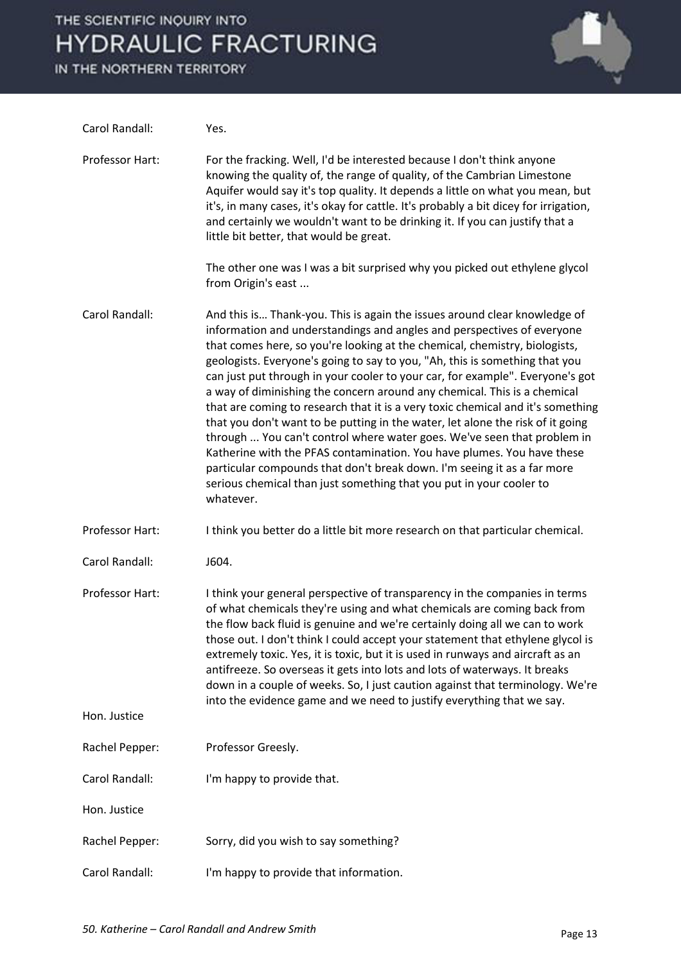IN THE NORTHERN TERRITORY



| Carol Randall:                  | Yes.                                                                                                                                                                                                                                                                                                                                                                                                                                                                                                                                                                                                                                                                                                                                                                                                                                                                                                                                                                   |
|---------------------------------|------------------------------------------------------------------------------------------------------------------------------------------------------------------------------------------------------------------------------------------------------------------------------------------------------------------------------------------------------------------------------------------------------------------------------------------------------------------------------------------------------------------------------------------------------------------------------------------------------------------------------------------------------------------------------------------------------------------------------------------------------------------------------------------------------------------------------------------------------------------------------------------------------------------------------------------------------------------------|
| Professor Hart:                 | For the fracking. Well, I'd be interested because I don't think anyone<br>knowing the quality of, the range of quality, of the Cambrian Limestone<br>Aquifer would say it's top quality. It depends a little on what you mean, but<br>it's, in many cases, it's okay for cattle. It's probably a bit dicey for irrigation,<br>and certainly we wouldn't want to be drinking it. If you can justify that a<br>little bit better, that would be great.                                                                                                                                                                                                                                                                                                                                                                                                                                                                                                                   |
|                                 | The other one was I was a bit surprised why you picked out ethylene glycol<br>from Origin's east                                                                                                                                                                                                                                                                                                                                                                                                                                                                                                                                                                                                                                                                                                                                                                                                                                                                       |
| Carol Randall:                  | And this is Thank-you. This is again the issues around clear knowledge of<br>information and understandings and angles and perspectives of everyone<br>that comes here, so you're looking at the chemical, chemistry, biologists,<br>geologists. Everyone's going to say to you, "Ah, this is something that you<br>can just put through in your cooler to your car, for example". Everyone's got<br>a way of diminishing the concern around any chemical. This is a chemical<br>that are coming to research that it is a very toxic chemical and it's something<br>that you don't want to be putting in the water, let alone the risk of it going<br>through  You can't control where water goes. We've seen that problem in<br>Katherine with the PFAS contamination. You have plumes. You have these<br>particular compounds that don't break down. I'm seeing it as a far more<br>serious chemical than just something that you put in your cooler to<br>whatever. |
| Professor Hart:                 | I think you better do a little bit more research on that particular chemical.                                                                                                                                                                                                                                                                                                                                                                                                                                                                                                                                                                                                                                                                                                                                                                                                                                                                                          |
| Carol Randall:                  | J604.                                                                                                                                                                                                                                                                                                                                                                                                                                                                                                                                                                                                                                                                                                                                                                                                                                                                                                                                                                  |
| Professor Hart:<br>Hon. Justice | I think your general perspective of transparency in the companies in terms<br>of what chemicals they're using and what chemicals are coming back from<br>the flow back fluid is genuine and we're certainly doing all we can to work<br>those out. I don't think I could accept your statement that ethylene glycol is<br>extremely toxic. Yes, it is toxic, but it is used in runways and aircraft as an<br>antifreeze. So overseas it gets into lots and lots of waterways. It breaks<br>down in a couple of weeks. So, I just caution against that terminology. We're<br>into the evidence game and we need to justify everything that we say.                                                                                                                                                                                                                                                                                                                      |
|                                 |                                                                                                                                                                                                                                                                                                                                                                                                                                                                                                                                                                                                                                                                                                                                                                                                                                                                                                                                                                        |
| Rachel Pepper:                  | Professor Greesly.                                                                                                                                                                                                                                                                                                                                                                                                                                                                                                                                                                                                                                                                                                                                                                                                                                                                                                                                                     |
| Carol Randall:                  | I'm happy to provide that.                                                                                                                                                                                                                                                                                                                                                                                                                                                                                                                                                                                                                                                                                                                                                                                                                                                                                                                                             |
| Hon. Justice                    |                                                                                                                                                                                                                                                                                                                                                                                                                                                                                                                                                                                                                                                                                                                                                                                                                                                                                                                                                                        |
| Rachel Pepper:                  | Sorry, did you wish to say something?                                                                                                                                                                                                                                                                                                                                                                                                                                                                                                                                                                                                                                                                                                                                                                                                                                                                                                                                  |
| Carol Randall:                  | I'm happy to provide that information.                                                                                                                                                                                                                                                                                                                                                                                                                                                                                                                                                                                                                                                                                                                                                                                                                                                                                                                                 |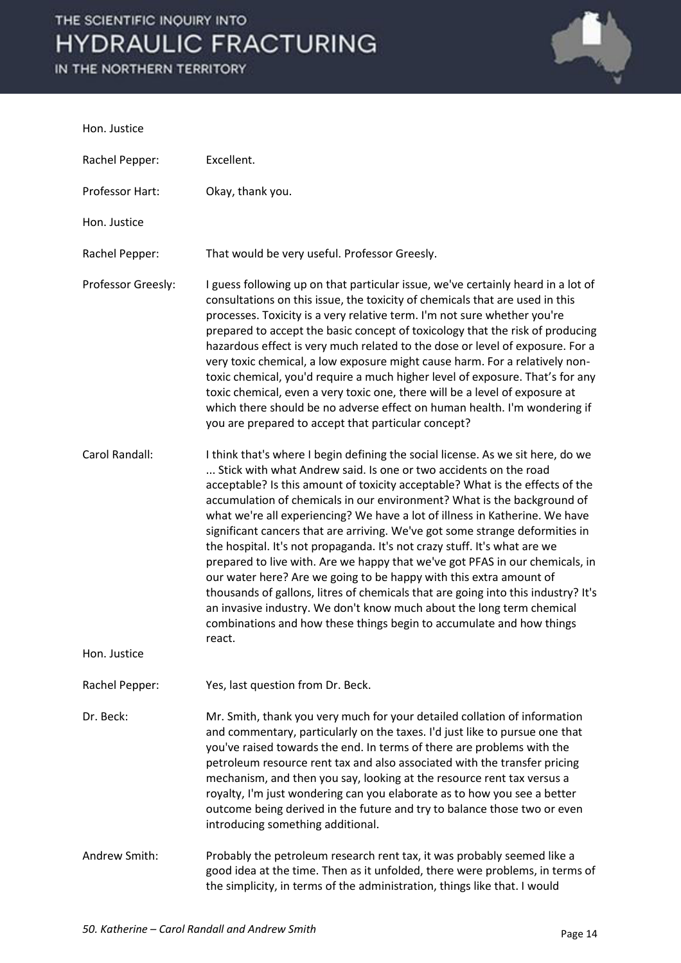IN THE NORTHERN TERRITORY



#### Hon. Justice

| Rachel Pepper:     | Excellent.                                                                                                                                                                                                                                                                                                                                                                                                                                                                                                                                                                                                                                                                                                                                                                                                                                                                                                                                                        |
|--------------------|-------------------------------------------------------------------------------------------------------------------------------------------------------------------------------------------------------------------------------------------------------------------------------------------------------------------------------------------------------------------------------------------------------------------------------------------------------------------------------------------------------------------------------------------------------------------------------------------------------------------------------------------------------------------------------------------------------------------------------------------------------------------------------------------------------------------------------------------------------------------------------------------------------------------------------------------------------------------|
| Professor Hart:    | Okay, thank you.                                                                                                                                                                                                                                                                                                                                                                                                                                                                                                                                                                                                                                                                                                                                                                                                                                                                                                                                                  |
| Hon. Justice       |                                                                                                                                                                                                                                                                                                                                                                                                                                                                                                                                                                                                                                                                                                                                                                                                                                                                                                                                                                   |
| Rachel Pepper:     | That would be very useful. Professor Greesly.                                                                                                                                                                                                                                                                                                                                                                                                                                                                                                                                                                                                                                                                                                                                                                                                                                                                                                                     |
| Professor Greesly: | I guess following up on that particular issue, we've certainly heard in a lot of<br>consultations on this issue, the toxicity of chemicals that are used in this<br>processes. Toxicity is a very relative term. I'm not sure whether you're<br>prepared to accept the basic concept of toxicology that the risk of producing<br>hazardous effect is very much related to the dose or level of exposure. For a<br>very toxic chemical, a low exposure might cause harm. For a relatively non-<br>toxic chemical, you'd require a much higher level of exposure. That's for any<br>toxic chemical, even a very toxic one, there will be a level of exposure at<br>which there should be no adverse effect on human health. I'm wondering if<br>you are prepared to accept that particular concept?                                                                                                                                                                 |
| Carol Randall:     | I think that's where I begin defining the social license. As we sit here, do we<br>Stick with what Andrew said. Is one or two accidents on the road<br>acceptable? Is this amount of toxicity acceptable? What is the effects of the<br>accumulation of chemicals in our environment? What is the background of<br>what we're all experiencing? We have a lot of illness in Katherine. We have<br>significant cancers that are arriving. We've got some strange deformities in<br>the hospital. It's not propaganda. It's not crazy stuff. It's what are we<br>prepared to live with. Are we happy that we've got PFAS in our chemicals, in<br>our water here? Are we going to be happy with this extra amount of<br>thousands of gallons, litres of chemicals that are going into this industry? It's<br>an invasive industry. We don't know much about the long term chemical<br>combinations and how these things begin to accumulate and how things<br>react. |
| Hon. Justice       |                                                                                                                                                                                                                                                                                                                                                                                                                                                                                                                                                                                                                                                                                                                                                                                                                                                                                                                                                                   |
| Rachel Pepper:     | Yes, last question from Dr. Beck.                                                                                                                                                                                                                                                                                                                                                                                                                                                                                                                                                                                                                                                                                                                                                                                                                                                                                                                                 |
| Dr. Beck:          | Mr. Smith, thank you very much for your detailed collation of information<br>and commentary, particularly on the taxes. I'd just like to pursue one that<br>you've raised towards the end. In terms of there are problems with the<br>petroleum resource rent tax and also associated with the transfer pricing<br>mechanism, and then you say, looking at the resource rent tax versus a<br>royalty, I'm just wondering can you elaborate as to how you see a better<br>outcome being derived in the future and try to balance those two or even<br>introducing something additional.                                                                                                                                                                                                                                                                                                                                                                            |
| Andrew Smith:      | Probably the petroleum research rent tax, it was probably seemed like a<br>good idea at the time. Then as it unfolded, there were problems, in terms of<br>the simplicity, in terms of the administration, things like that. I would                                                                                                                                                                                                                                                                                                                                                                                                                                                                                                                                                                                                                                                                                                                              |